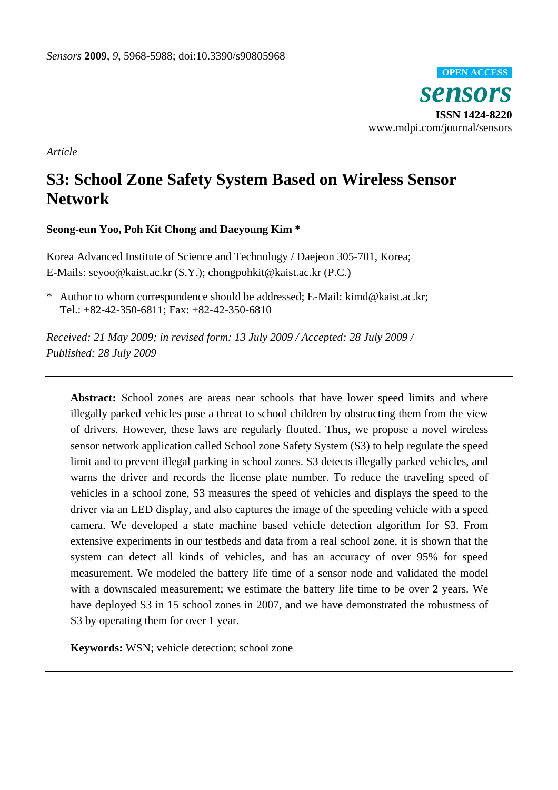

*Article* 

# **S3: School Zone Safety System Based on Wireless Sensor Network**

# **Seong-eun Yoo, Poh Kit Chong and Daeyoung Kim \***

Korea Advanced Institute of Science and Technology / Daejeon 305-701, Korea; E-Mails: seyoo@kaist.ac.kr (S.Y.); chongpohkit@kaist.ac.kr (P.C.)

\* Author to whom correspondence should be addressed; E-Mail: kimd@kaist.ac.kr; Tel.: +82-42-350-6811; Fax: +82-42-350-6810

*Received: 21 May 2009; in revised form: 13 July 2009 / Accepted: 28 July 2009 / Published: 28 July 2009* 

Abstract: School zones are areas near schools that have lower speed limits and where illegally parked vehicles pose a threat to school children by obstructing them from the view of drivers. However, these laws are regularly flouted. Thus, we propose a novel wireless sensor network application called School zone Safety System (S3) to help regulate the speed limit and to prevent illegal parking in school zones. S3 detects illegally parked vehicles, and warns the driver and records the license plate number. To reduce the traveling speed of vehicles in a school zone, S3 measures the speed of vehicles and displays the speed to the driver via an LED display, and also captures the image of the speeding vehicle with a speed camera. We developed a state machine based vehicle detection algorithm for S3. From extensive experiments in our testbeds and data from a real school zone, it is shown that the system can detect all kinds of vehicles, and has an accuracy of over 95% for speed measurement. We modeled the battery life time of a sensor node and validated the model with a downscaled measurement; we estimate the battery life time to be over 2 years. We have deployed S3 in 15 school zones in 2007, and we have demonstrated the robustness of S3 by operating them for over 1 year.

**Keywords:** WSN; vehicle detection; school zone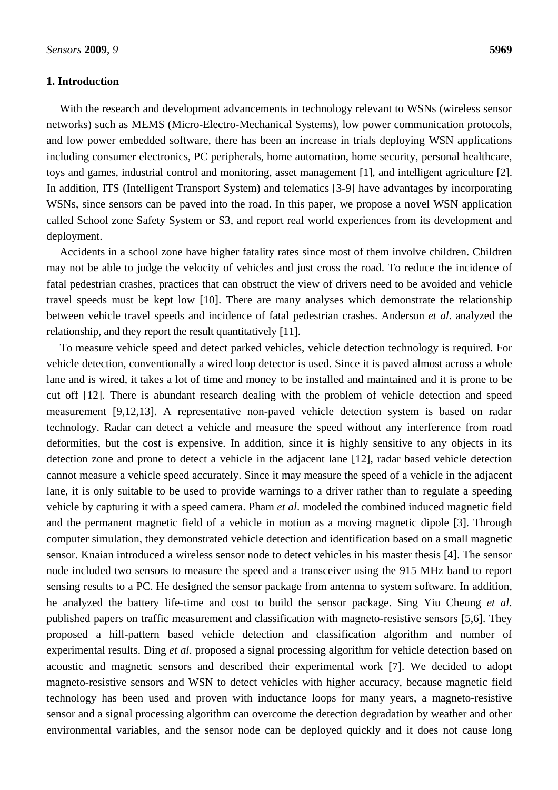## **1. Introduction**

With the research and development advancements in technology relevant to WSNs (wireless sensor networks) such as MEMS (Micro-Electro-Mechanical Systems), low power communication protocols, and low power embedded software, there has been an increase in trials deploying WSN applications including consumer electronics, PC peripherals, home automation, home security, personal healthcare, toys and games, industrial control and monitoring, asset management [1], and intelligent agriculture [2]. In addition, ITS (Intelligent Transport System) and telematics [3-9] have advantages by incorporating WSNs, since sensors can be paved into the road. In this paper, we propose a novel WSN application called School zone Safety System or S3, and report real world experiences from its development and deployment.

Accidents in a school zone have higher fatality rates since most of them involve children. Children may not be able to judge the velocity of vehicles and just cross the road. To reduce the incidence of fatal pedestrian crashes, practices that can obstruct the view of drivers need to be avoided and vehicle travel speeds must be kept low [10]. There are many analyses which demonstrate the relationship between vehicle travel speeds and incidence of fatal pedestrian crashes. Anderson *et al*. analyzed the relationship, and they report the result quantitatively [11].

To measure vehicle speed and detect parked vehicles, vehicle detection technology is required. For vehicle detection, conventionally a wired loop detector is used. Since it is paved almost across a whole lane and is wired, it takes a lot of time and money to be installed and maintained and it is prone to be cut off [12]. There is abundant research dealing with the problem of vehicle detection and speed measurement [9,12,13]. A representative non-paved vehicle detection system is based on radar technology. Radar can detect a vehicle and measure the speed without any interference from road deformities, but the cost is expensive. In addition, since it is highly sensitive to any objects in its detection zone and prone to detect a vehicle in the adjacent lane [12], radar based vehicle detection cannot measure a vehicle speed accurately. Since it may measure the speed of a vehicle in the adjacent lane, it is only suitable to be used to provide warnings to a driver rather than to regulate a speeding vehicle by capturing it with a speed camera. Pham *et al*. modeled the combined induced magnetic field and the permanent magnetic field of a vehicle in motion as a moving magnetic dipole [3]. Through computer simulation, they demonstrated vehicle detection and identification based on a small magnetic sensor. Knaian introduced a wireless sensor node to detect vehicles in his master thesis [4]. The sensor node included two sensors to measure the speed and a transceiver using the 915 MHz band to report sensing results to a PC. He designed the sensor package from antenna to system software. In addition, he analyzed the battery life-time and cost to build the sensor package. Sing Yiu Cheung *et al*. published papers on traffic measurement and classification with magneto-resistive sensors [5,6]. They proposed a hill-pattern based vehicle detection and classification algorithm and number of experimental results. Ding *et al*. proposed a signal processing algorithm for vehicle detection based on acoustic and magnetic sensors and described their experimental work [7]. We decided to adopt magneto-resistive sensors and WSN to detect vehicles with higher accuracy, because magnetic field technology has been used and proven with inductance loops for many years, a magneto-resistive sensor and a signal processing algorithm can overcome the detection degradation by weather and other environmental variables, and the sensor node can be deployed quickly and it does not cause long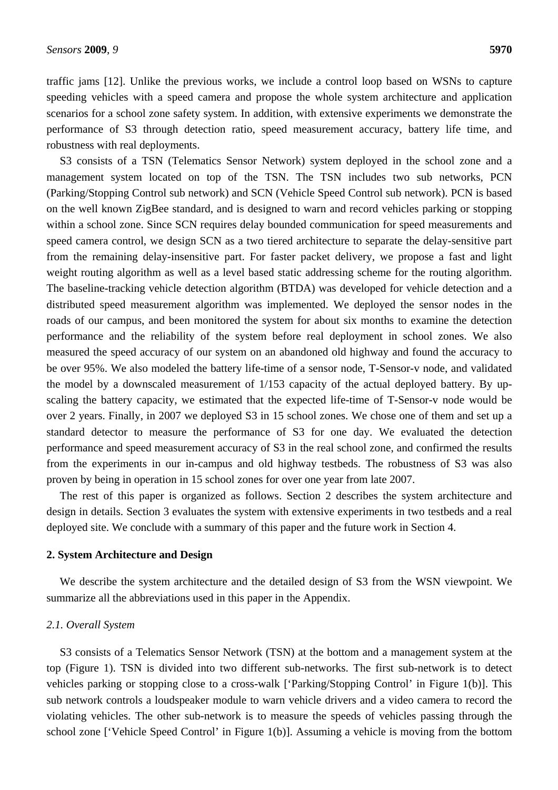traffic jams [12]. Unlike the previous works, we include a control loop based on WSNs to capture speeding vehicles with a speed camera and propose the whole system architecture and application scenarios for a school zone safety system. In addition, with extensive experiments we demonstrate the performance of S3 through detection ratio, speed measurement accuracy, battery life time, and robustness with real deployments.

S3 consists of a TSN (Telematics Sensor Network) system deployed in the school zone and a management system located on top of the TSN. The TSN includes two sub networks, PCN (Parking/Stopping Control sub network) and SCN (Vehicle Speed Control sub network). PCN is based on the well known ZigBee standard, and is designed to warn and record vehicles parking or stopping within a school zone. Since SCN requires delay bounded communication for speed measurements and speed camera control, we design SCN as a two tiered architecture to separate the delay-sensitive part from the remaining delay-insensitive part. For faster packet delivery, we propose a fast and light weight routing algorithm as well as a level based static addressing scheme for the routing algorithm. The baseline-tracking vehicle detection algorithm (BTDA) was developed for vehicle detection and a distributed speed measurement algorithm was implemented. We deployed the sensor nodes in the roads of our campus, and been monitored the system for about six months to examine the detection performance and the reliability of the system before real deployment in school zones. We also measured the speed accuracy of our system on an abandoned old highway and found the accuracy to be over 95%. We also modeled the battery life-time of a sensor node, T-Sensor-v node, and validated the model by a downscaled measurement of 1/153 capacity of the actual deployed battery. By upscaling the battery capacity, we estimated that the expected life-time of T-Sensor-v node would be over 2 years. Finally, in 2007 we deployed S3 in 15 school zones. We chose one of them and set up a standard detector to measure the performance of S3 for one day. We evaluated the detection performance and speed measurement accuracy of S3 in the real school zone, and confirmed the results from the experiments in our in-campus and old highway testbeds. The robustness of S3 was also proven by being in operation in 15 school zones for over one year from late 2007.

The rest of this paper is organized as follows. Section 2 describes the system architecture and design in details. Section 3 evaluates the system with extensive experiments in two testbeds and a real deployed site. We conclude with a summary of this paper and the future work in Section 4.

#### **2. System Architecture and Design**

We describe the system architecture and the detailed design of S3 from the WSN viewpoint. We summarize all the abbreviations used in this paper in the Appendix.

## *2.1. Overall System*

S3 consists of a Telematics Sensor Network (TSN) at the bottom and a management system at the top (Figure 1). TSN is divided into two different sub-networks. The first sub-network is to detect vehicles parking or stopping close to a cross-walk ['Parking/Stopping Control' in Figure 1(b)]. This sub network controls a loudspeaker module to warn vehicle drivers and a video camera to record the violating vehicles. The other sub-network is to measure the speeds of vehicles passing through the school zone ['Vehicle Speed Control' in Figure 1(b)]. Assuming a vehicle is moving from the bottom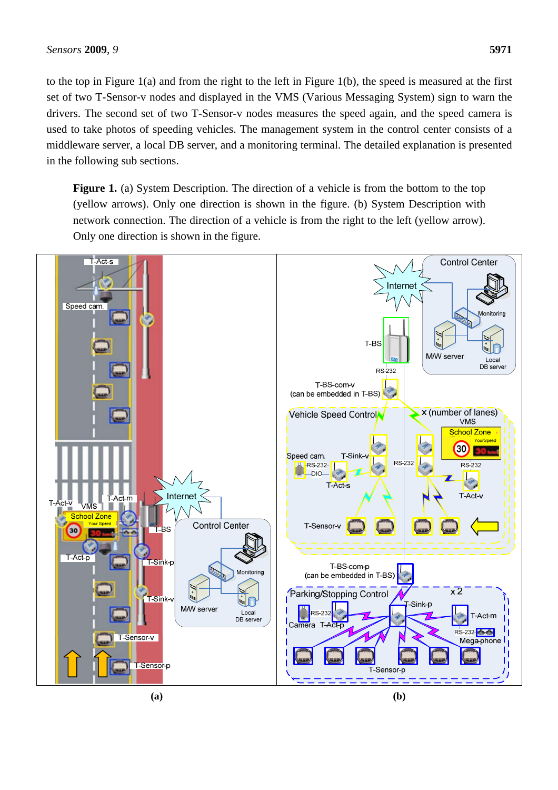to the top in Figure 1(a) and from the right to the left in Figure 1(b), the speed is measured at the first set of two T-Sensor-v nodes and displayed in the VMS (Various Messaging System) sign to warn the drivers. The second set of two T-Sensor-v nodes measures the speed again, and the speed camera is used to take photos of speeding vehicles. The management system in the control center consists of a middleware server, a local DB server, and a monitoring terminal. The detailed explanation is presented in the following sub sections.

**Figure 1.** (a) System Description. The direction of a vehicle is from the bottom to the top (yellow arrows). Only one direction is shown in the figure. (b) System Description with network connection. The direction of a vehicle is from the right to the left (yellow arrow). Only one direction is shown in the figure.

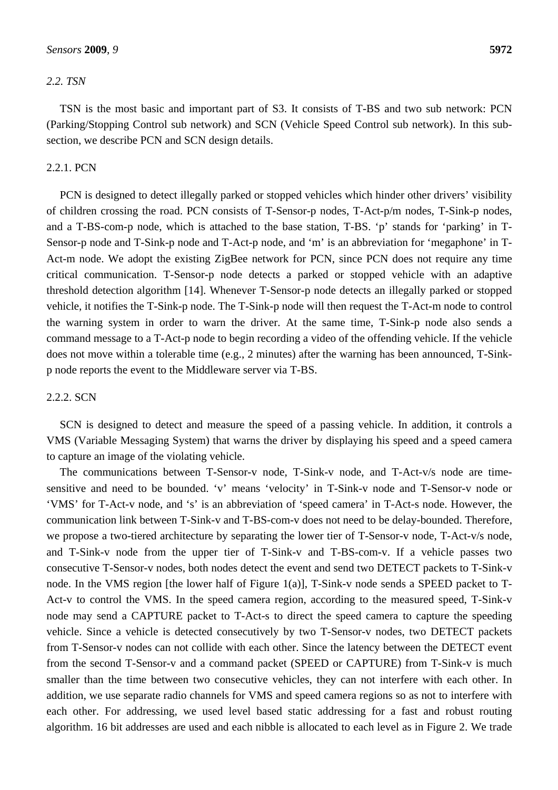# *2.2. TSN*

TSN is the most basic and important part of S3. It consists of T-BS and two sub network: PCN (Parking/Stopping Control sub network) and SCN (Vehicle Speed Control sub network). In this subsection, we describe PCN and SCN design details.

## 2.2.1. PCN

PCN is designed to detect illegally parked or stopped vehicles which hinder other drivers' visibility of children crossing the road. PCN consists of T-Sensor-p nodes, T-Act-p/m nodes, T-Sink-p nodes, and a T-BS-com-p node, which is attached to the base station, T-BS. 'p' stands for 'parking' in T-Sensor-p node and T-Sink-p node and T-Act-p node, and 'm' is an abbreviation for 'megaphone' in T-Act-m node. We adopt the existing ZigBee network for PCN, since PCN does not require any time critical communication. T-Sensor-p node detects a parked or stopped vehicle with an adaptive threshold detection algorithm [14]. Whenever T-Sensor-p node detects an illegally parked or stopped vehicle, it notifies the T-Sink-p node. The T-Sink-p node will then request the T-Act-m node to control the warning system in order to warn the driver. At the same time, T-Sink-p node also sends a command message to a T-Act-p node to begin recording a video of the offending vehicle. If the vehicle does not move within a tolerable time (e.g., 2 minutes) after the warning has been announced, T-Sinkp node reports the event to the Middleware server via T-BS.

## 2.2.2. SCN

SCN is designed to detect and measure the speed of a passing vehicle. In addition, it controls a VMS (Variable Messaging System) that warns the driver by displaying his speed and a speed camera to capture an image of the violating vehicle.

The communications between T-Sensor-v node, T-Sink-v node, and T-Act-v/s node are timesensitive and need to be bounded. 'v' means 'velocity' in T-Sink-v node and T-Sensor-v node or 'VMS' for T-Act-v node, and 's' is an abbreviation of 'speed camera' in T-Act-s node. However, the communication link between T-Sink-v and T-BS-com-v does not need to be delay-bounded. Therefore, we propose a two-tiered architecture by separating the lower tier of T-Sensor-v node, T-Act-v/s node, and T-Sink-v node from the upper tier of T-Sink-v and T-BS-com-v. If a vehicle passes two consecutive T-Sensor-v nodes, both nodes detect the event and send two DETECT packets to T-Sink-v node. In the VMS region [the lower half of Figure 1(a)], T-Sink-v node sends a SPEED packet to T-Act-v to control the VMS. In the speed camera region, according to the measured speed, T-Sink-v node may send a CAPTURE packet to T-Act-s to direct the speed camera to capture the speeding vehicle. Since a vehicle is detected consecutively by two T-Sensor-v nodes, two DETECT packets from T-Sensor-v nodes can not collide with each other. Since the latency between the DETECT event from the second T-Sensor-v and a command packet (SPEED or CAPTURE) from T-Sink-v is much smaller than the time between two consecutive vehicles, they can not interfere with each other. In addition, we use separate radio channels for VMS and speed camera regions so as not to interfere with each other. For addressing, we used level based static addressing for a fast and robust routing algorithm. 16 bit addresses are used and each nibble is allocated to each level as in Figure 2. We trade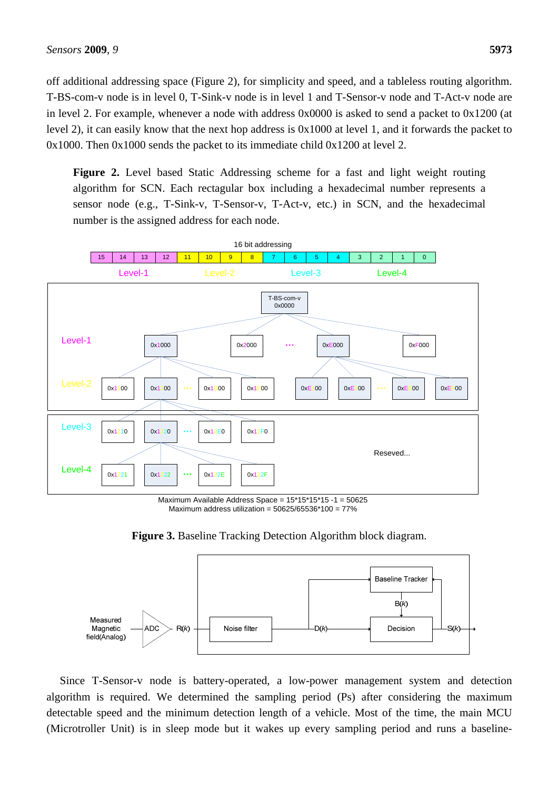off additional addressing space (Figure 2), for simplicity and speed, and a tableless routing algorithm. T-BS-com-v node is in level 0, T-Sink-v node is in level 1 and T-Sensor-v node and T-Act-v node are in level 2. For example, whenever a node with address 0x0000 is asked to send a packet to 0x1200 (at level 2), it can easily know that the next hop address is 0x1000 at level 1, and it forwards the packet to 0x1000. Then 0x1000 sends the packet to its immediate child 0x1200 at level 2.

**Figure 2.** Level based Static Addressing scheme for a fast and light weight routing algorithm for SCN. Each rectagular box including a hexadecimal number represents a sensor node (e.g., T-Sink-v, T-Sensor-v, T-Act-v, etc.) in SCN, and the hexadecimal number is the assigned address for each node.



Maximum Available Address Space = 15\*15\*15\*15 -1 = 50625 Maximum address utilization =  $50625/65536*100 = 77%$ 

**Figure 3.** Baseline Tracking Detection Algorithm block diagram.



Since T-Sensor-v node is battery-operated, a low-power management system and detection algorithm is required. We determined the sampling period (Ps) after considering the maximum detectable speed and the minimum detection length of a vehicle. Most of the time, the main MCU (Microtroller Unit) is in sleep mode but it wakes up every sampling period and runs a baseline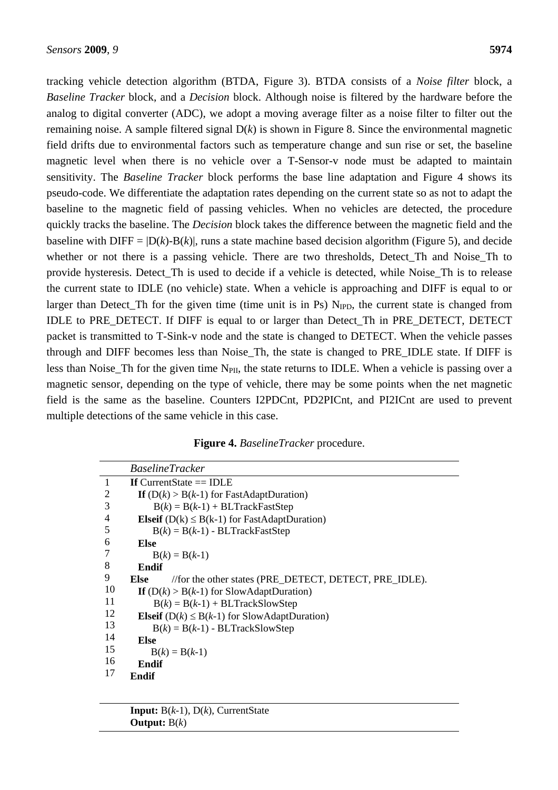tracking vehicle detection algorithm (BTDA, Figure 3). BTDA consists of a *Noise filter* block, a *Baseline Tracker* block, and a *Decision* block. Although noise is filtered by the hardware before the analog to digital converter (ADC), we adopt a moving average filter as a noise filter to filter out the remaining noise. A sample filtered signal D(*k*) is shown in Figure 8. Since the environmental magnetic field drifts due to environmental factors such as temperature change and sun rise or set, the baseline magnetic level when there is no vehicle over a T-Sensor-v node must be adapted to maintain sensitivity. The *Baseline Tracker* block performs the base line adaptation and Figure 4 shows its pseudo-code. We differentiate the adaptation rates depending on the current state so as not to adapt the baseline to the magnetic field of passing vehicles. When no vehicles are detected, the procedure quickly tracks the baseline. The *Decision* block takes the difference between the magnetic field and the baseline with  $\text{DIFF} = |D(k) - B(k)|$ , runs a state machine based decision algorithm (Figure 5), and decide whether or not there is a passing vehicle. There are two thresholds, Detect\_Th and Noise\_Th to provide hysteresis. Detect\_Th is used to decide if a vehicle is detected, while Noise\_Th is to release the current state to IDLE (no vehicle) state. When a vehicle is approaching and DIFF is equal to or larger than Detect\_Th for the given time (time unit is in Ps)  $N_{IPD}$ , the current state is changed from IDLE to PRE\_DETECT. If DIFF is equal to or larger than Detect\_Th in PRE\_DETECT, DETECT packet is transmitted to T-Sink-v node and the state is changed to DETECT. When the vehicle passes through and DIFF becomes less than Noise\_Th, the state is changed to PRE\_IDLE state. If DIFF is less than Noise\_Th for the given time  $N_{\text{PII}}$ , the state returns to IDLE. When a vehicle is passing over a magnetic sensor, depending on the type of vehicle, there may be some points when the net magnetic field is the same as the baseline. Counters I2PDCnt, PD2PICnt, and PI2ICnt are used to prevent multiple detections of the same vehicle in this case.

|  | Figure 4. BaselineTracker procedure. |  |
|--|--------------------------------------|--|
|--|--------------------------------------|--|

|    | <b>BaselineTracker</b>                                         |
|----|----------------------------------------------------------------|
| 1  | If $CurrentState == IDLE$                                      |
| 2  | If $(D(k) > B(k-1)$ for FastAdaptDuration)                     |
| 3  | $B(k) = B(k-1) + BLTrackFastStep$                              |
| 4  | <b>Elseif</b> ( $D(k) \leq B(k-1)$ ) for FastAdaptDuration)    |
| 5  | $B(k) = B(k-1) - BLTrackFastStep$                              |
| 6  | Else                                                           |
| 7  | $B(k) = B(k-1)$                                                |
| 8  | Endif                                                          |
| 9  | //for the other states (PRE_DETECT, DETECT, PRE_IDLE).<br>Else |
| 10 | If $(D(k) > B(k-1)$ for SlowAdaptDuration)                     |
| 11 | $B(k) = B(k-1) + BLTrackShowStep$                              |
| 12 | <b>Elseif</b> ( $D(k) \leq B(k-1)$ for SlowAdaptDuration)      |
| 13 | $B(k) = B(k-1)$ - BLTrackSlowStep                              |
| 14 | Else                                                           |
| 15 | $B(k) = B(k-1)$                                                |
| 16 | <b>Endif</b>                                                   |
| 17 | Endif                                                          |

**Input:** B(*k*-1), D(*k*), CurrentState **Output:** B(*k*)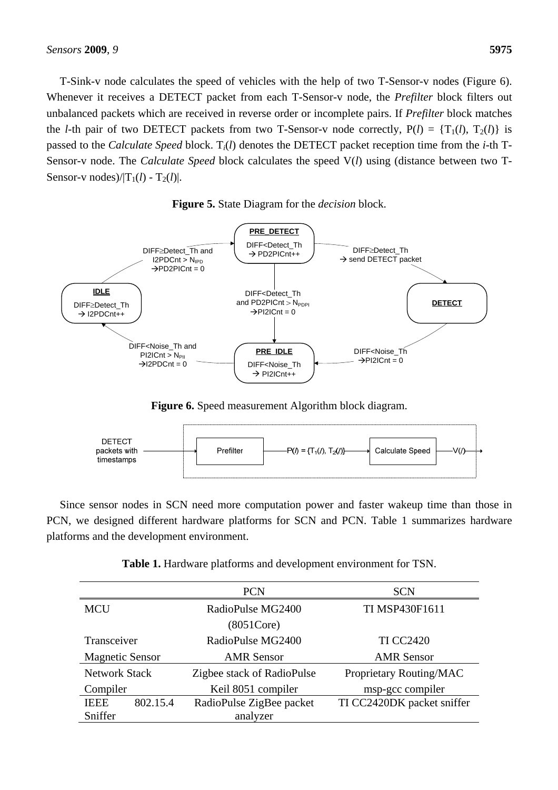T-Sink-v node calculates the speed of vehicles with the help of two T-Sensor-v nodes (Figure 6). Whenever it receives a DETECT packet from each T-Sensor-v node, the *Prefilter* block filters out unbalanced packets which are received in reverse order or incomplete pairs. If *Prefilter* block matches the *l*-th pair of two DETECT packets from two T-Sensor-v node correctly,  $P(l) = {T_1(l), T_2(l)}$  is passed to the *Calculate Speed* block. T*i*(*l*) denotes the DETECT packet reception time from the *i*-th T-Sensor-v node. The *Calculate Speed* block calculates the speed V(*l*) using (distance between two T-Sensor-v nodes)/ $|T_1(l) - T_2(l)|$ .





**Figure 6.** Speed measurement Algorithm block diagram.



Since sensor nodes in SCN need more computation power and faster wakeup time than those in PCN, we designed different hardware platforms for SCN and PCN. Table 1 summarizes hardware platforms and the development environment.

|                         | <b>PCN</b>                                             | <b>SCN</b>              |
|-------------------------|--------------------------------------------------------|-------------------------|
| <b>MCU</b>              | RadioPulse MG2400                                      | TI MSP430F1611          |
|                         | (8051Core)                                             |                         |
| Transceiver             | RadioPulse MG2400                                      | <b>TI CC2420</b>        |
| <b>Magnetic Sensor</b>  | <b>AMR</b> Sensor                                      | <b>AMR</b> Sensor       |
| <b>Network Stack</b>    | Zigbee stack of RadioPulse                             | Proprietary Routing/MAC |
| Compiler                | Keil 8051 compiler                                     | msp-gcc compiler        |
| 802.15.4<br><b>IEEE</b> | TI CC2420DK packet sniffer<br>RadioPulse ZigBee packet |                         |
| Sniffer                 | analyzer                                               |                         |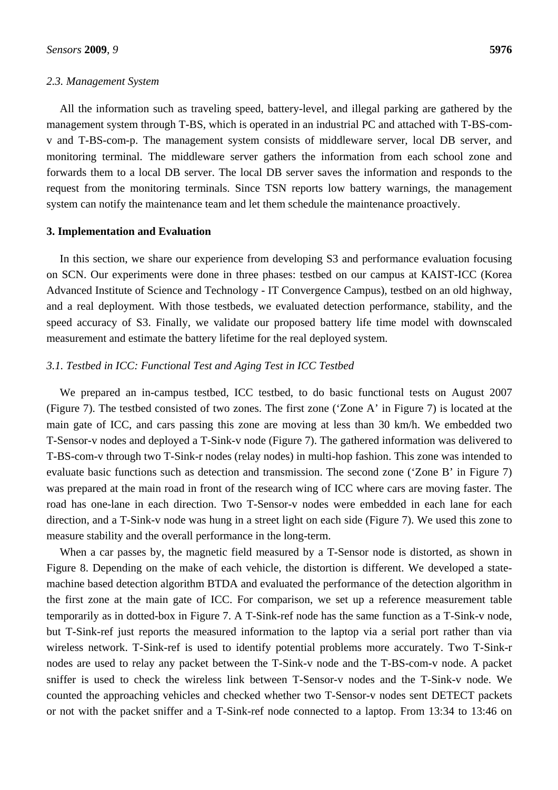#### *2.3. Management System*

All the information such as traveling speed, battery-level, and illegal parking are gathered by the management system through T-BS, which is operated in an industrial PC and attached with T-BS-comv and T-BS-com-p. The management system consists of middleware server, local DB server, and monitoring terminal. The middleware server gathers the information from each school zone and forwards them to a local DB server. The local DB server saves the information and responds to the request from the monitoring terminals. Since TSN reports low battery warnings, the management system can notify the maintenance team and let them schedule the maintenance proactively.

#### **3. Implementation and Evaluation**

In this section, we share our experience from developing S3 and performance evaluation focusing on SCN. Our experiments were done in three phases: testbed on our campus at KAIST-ICC (Korea Advanced Institute of Science and Technology - IT Convergence Campus), testbed on an old highway, and a real deployment. With those testbeds, we evaluated detection performance, stability, and the speed accuracy of S3. Finally, we validate our proposed battery life time model with downscaled measurement and estimate the battery lifetime for the real deployed system.

# *3.1. Testbed in ICC: Functional Test and Aging Test in ICC Testbed*

We prepared an in-campus testbed, ICC testbed, to do basic functional tests on August 2007 (Figure 7). The testbed consisted of two zones. The first zone ('Zone A' in Figure 7) is located at the main gate of ICC, and cars passing this zone are moving at less than 30 km/h. We embedded two T-Sensor-v nodes and deployed a T-Sink-v node (Figure 7). The gathered information was delivered to T-BS-com-v through two T-Sink-r nodes (relay nodes) in multi-hop fashion. This zone was intended to evaluate basic functions such as detection and transmission. The second zone ('Zone B' in Figure 7) was prepared at the main road in front of the research wing of ICC where cars are moving faster. The road has one-lane in each direction. Two T-Sensor-v nodes were embedded in each lane for each direction, and a T-Sink-v node was hung in a street light on each side (Figure 7). We used this zone to measure stability and the overall performance in the long-term.

When a car passes by, the magnetic field measured by a T-Sensor node is distorted, as shown in Figure 8. Depending on the make of each vehicle, the distortion is different. We developed a statemachine based detection algorithm BTDA and evaluated the performance of the detection algorithm in the first zone at the main gate of ICC. For comparison, we set up a reference measurement table temporarily as in dotted-box in Figure 7. A T-Sink-ref node has the same function as a T-Sink-v node, but T-Sink-ref just reports the measured information to the laptop via a serial port rather than via wireless network. T-Sink-ref is used to identify potential problems more accurately. Two T-Sink-r nodes are used to relay any packet between the T-Sink-v node and the T-BS-com-v node. A packet sniffer is used to check the wireless link between T-Sensor-v nodes and the T-Sink-v node. We counted the approaching vehicles and checked whether two T-Sensor-v nodes sent DETECT packets or not with the packet sniffer and a T-Sink-ref node connected to a laptop. From 13:34 to 13:46 on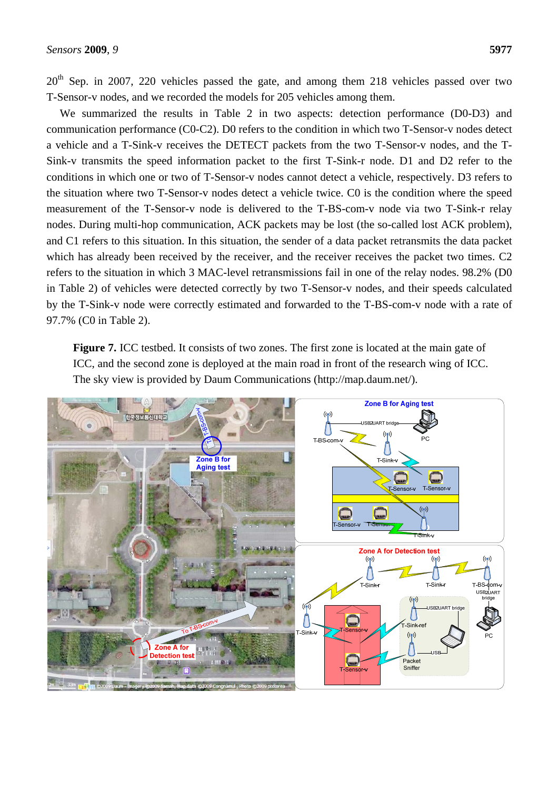20<sup>th</sup> Sep. in 2007, 220 vehicles passed the gate, and among them 218 vehicles passed over two T-Sensor-v nodes, and we recorded the models for 205 vehicles among them.

We summarized the results in Table 2 in two aspects: detection performance (D0-D3) and communication performance (C0-C2). D0 refers to the condition in which two T-Sensor-v nodes detect a vehicle and a T-Sink-v receives the DETECT packets from the two T-Sensor-v nodes, and the T-Sink-v transmits the speed information packet to the first T-Sink-r node. D1 and D2 refer to the conditions in which one or two of T-Sensor-v nodes cannot detect a vehicle, respectively. D3 refers to the situation where two T-Sensor-v nodes detect a vehicle twice. C0 is the condition where the speed measurement of the T-Sensor-v node is delivered to the T-BS-com-v node via two T-Sink-r relay nodes. During multi-hop communication, ACK packets may be lost (the so-called lost ACK problem), and C1 refers to this situation. In this situation, the sender of a data packet retransmits the data packet which has already been received by the receiver, and the receiver receives the packet two times. C2 refers to the situation in which 3 MAC-level retransmissions fail in one of the relay nodes. 98.2% (D0 in Table 2) of vehicles were detected correctly by two T-Sensor-v nodes, and their speeds calculated by the T-Sink-v node were correctly estimated and forwarded to the T-BS-com-v node with a rate of 97.7% (C0 in Table 2).

**Figure 7.** ICC testbed. It consists of two zones. The first zone is located at the main gate of ICC, and the second zone is deployed at the main road in front of the research wing of ICC. The sky view is provided by Daum Communications (http://map.daum.net/).

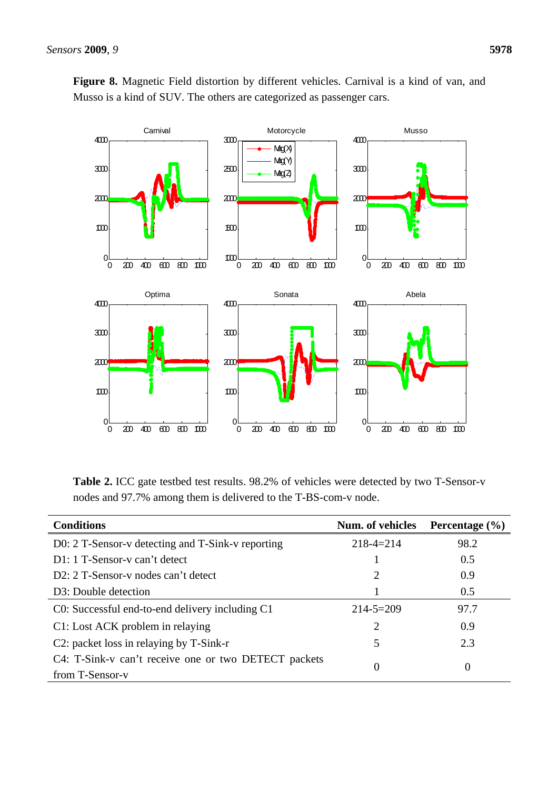

**Figure 8.** Magnetic Field distortion by different vehicles. Carnival is a kind of van, and Musso is a kind of SUV. The others are categorized as passenger cars.

**Table 2.** ICC gate testbed test results. 98.2% of vehicles were detected by two T-Sensor-v nodes and 97.7% among them is delivered to the T-BS-com-v node.

| <b>Conditions</b>                                    | Num. of vehicles | Percentage $(\% )$ |
|------------------------------------------------------|------------------|--------------------|
| D0: 2 T-Sensor-v detecting and T-Sink-v reporting    | $218 - 4 = 214$  | 98.2               |
| $D1: 1$ T-Sensor-v can't detect                      |                  | 0.5                |
| D2: 2 T-Sensor-v nodes can't detect                  | 2                | 0.9                |
| D <sub>3</sub> : Double detection                    |                  | 0.5                |
| C0: Successful end-to-end delivery including C1      | $214 - 5 = 209$  | 97.7               |
| C1: Lost ACK problem in relaying                     | 2                | 0.9                |
| C2: packet loss in relaying by T-Sink-r              | 5                | 2.3                |
| C4: T-Sink-v can't receive one or two DETECT packets | 0                | $\theta$           |
| from T-Sensor-v                                      |                  |                    |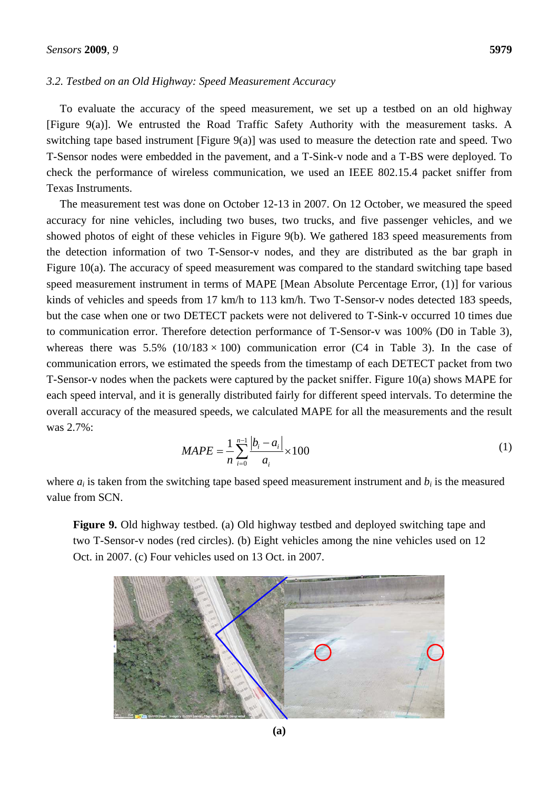## *3.2. Testbed on an Old Highway: Speed Measurement Accuracy*

To evaluate the accuracy of the speed measurement, we set up a testbed on an old highway [Figure 9(a)]. We entrusted the Road Traffic Safety Authority with the measurement tasks. A switching tape based instrument [Figure 9(a)] was used to measure the detection rate and speed. Two T-Sensor nodes were embedded in the pavement, and a T-Sink-v node and a T-BS were deployed. To check the performance of wireless communication, we used an IEEE 802.15.4 packet sniffer from Texas Instruments.

The measurement test was done on October 12-13 in 2007. On 12 October, we measured the speed accuracy for nine vehicles, including two buses, two trucks, and five passenger vehicles, and we showed photos of eight of these vehicles in Figure 9(b). We gathered 183 speed measurements from the detection information of two T-Sensor-v nodes, and they are distributed as the bar graph in Figure 10(a). The accuracy of speed measurement was compared to the standard switching tape based speed measurement instrument in terms of MAPE [Mean Absolute Percentage Error, (1)] for various kinds of vehicles and speeds from 17 km/h to 113 km/h. Two T-Sensor-v nodes detected 183 speeds, but the case when one or two DETECT packets were not delivered to T-Sink-v occurred 10 times due to communication error. Therefore detection performance of T-Sensor-v was 100% (D0 in Table 3), whereas there was  $5.5\%$  (10/183 × 100) communication error (C4 in Table 3). In the case of communication errors, we estimated the speeds from the timestamp of each DETECT packet from two T-Sensor-v nodes when the packets were captured by the packet sniffer. Figure 10(a) shows MAPE for each speed interval, and it is generally distributed fairly for different speed intervals. To determine the overall accuracy of the measured speeds, we calculated MAPE for all the measurements and the result was 2.7%:

$$
MAPE = \frac{1}{n} \sum_{i=0}^{n-1} \frac{|b_i - a_i|}{a_i} \times 100
$$
 (1)

where  $a_i$  is taken from the switching tape based speed measurement instrument and  $b_i$  is the measured value from SCN.

**Figure 9.** Old highway testbed. (a) Old highway testbed and deployed switching tape and two T-Sensor-v nodes (red circles). (b) Eight vehicles among the nine vehicles used on 12 Oct. in 2007. (c) Four vehicles used on 13 Oct. in 2007.

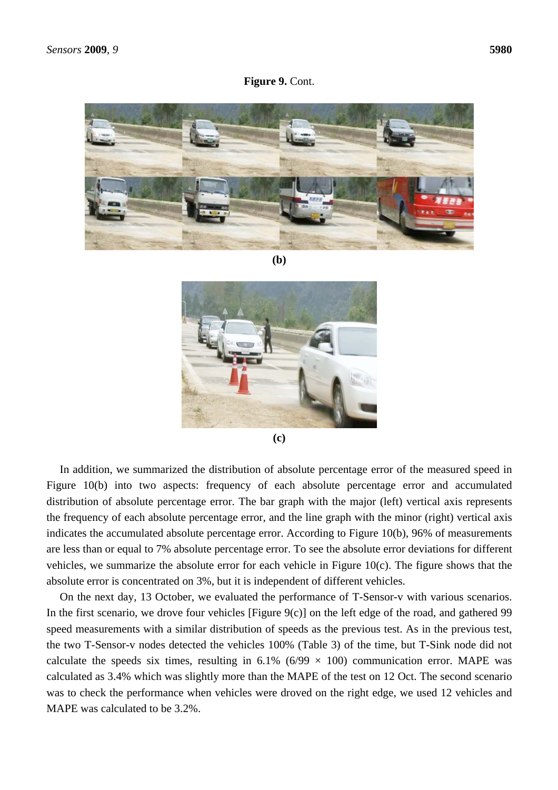**Figure 9.** Cont.



**(b)** 



**(c)** 

In addition, we summarized the distribution of absolute percentage error of the measured speed in Figure 10(b) into two aspects: frequency of each absolute percentage error and accumulated distribution of absolute percentage error. The bar graph with the major (left) vertical axis represents the frequency of each absolute percentage error, and the line graph with the minor (right) vertical axis indicates the accumulated absolute percentage error. According to Figure 10(b), 96% of measurements are less than or equal to 7% absolute percentage error. To see the absolute error deviations for different vehicles, we summarize the absolute error for each vehicle in Figure 10(c). The figure shows that the absolute error is concentrated on 3%, but it is independent of different vehicles.

On the next day, 13 October, we evaluated the performance of T-Sensor-v with various scenarios. In the first scenario, we drove four vehicles [Figure  $9(c)$ ] on the left edge of the road, and gathered 99 speed measurements with a similar distribution of speeds as the previous test. As in the previous test, the two T-Sensor-v nodes detected the vehicles 100% (Table 3) of the time, but T-Sink node did not calculate the speeds six times, resulting in 6.1% (6/99  $\times$  100) communication error. MAPE was calculated as 3.4% which was slightly more than the MAPE of the test on 12 Oct. The second scenario was to check the performance when vehicles were droved on the right edge, we used 12 vehicles and MAPE was calculated to be 3.2%.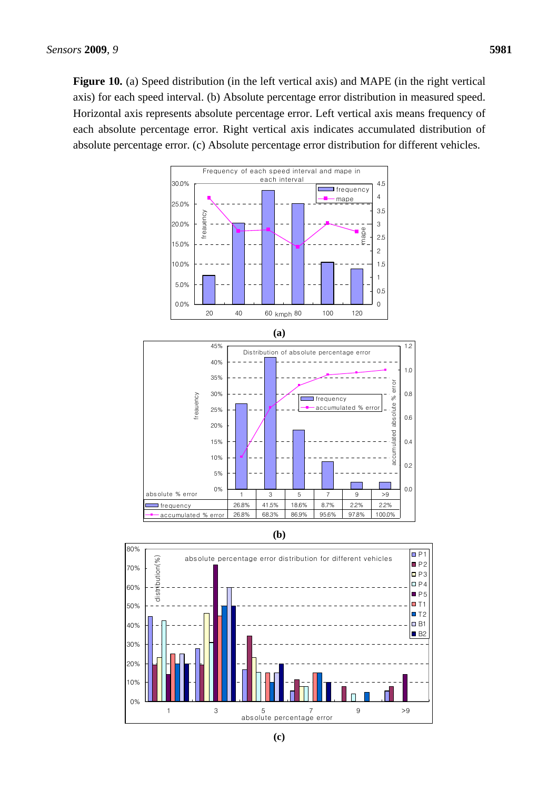Figure 10. (a) Speed distribution (in the left vertical axis) and MAPE (in the right vertical axis) for each speed interval. (b) Absolute percentage error distribution in measured speed. Horizontal axis represents absolute percentage error. Left vertical axis means frequency of each absolute percentage error. Right vertical axis indicates accumulated distribution of absolute percentage error. (c) Absolute percentage error distribution for different vehicles.





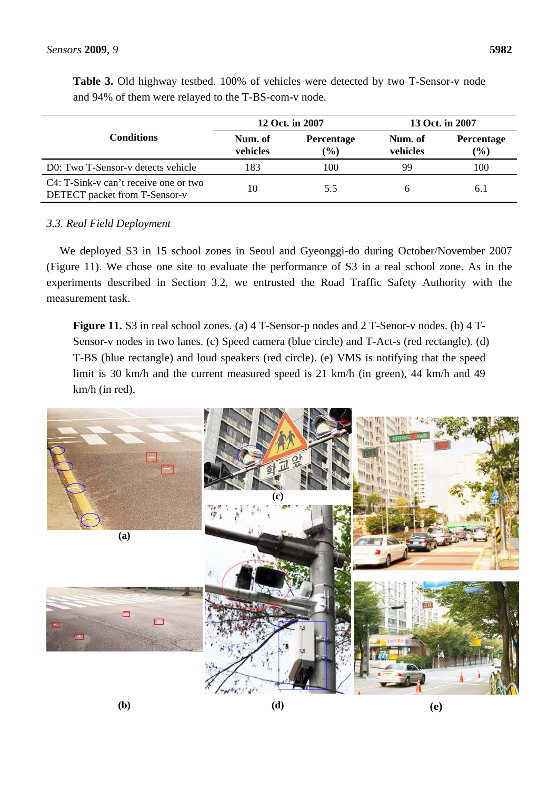|                                                                        |                     | 12 Oct. in 2007             | 13 Oct. in 2007     |                          |  |
|------------------------------------------------------------------------|---------------------|-----------------------------|---------------------|--------------------------|--|
| <b>Conditions</b>                                                      | Num. of<br>vehicles | <b>Percentage</b><br>$(\%)$ | Num. of<br>vehicles | <b>Percentage</b><br>(%) |  |
| D0: Two T-Sensor-v detects vehicle                                     | 183                 | 100                         | 99                  | 100                      |  |
| C4: T-Sink-y can't receive one or two<br>DETECT packet from T-Sensor-v | 10                  | 5.5                         |                     | 6.1                      |  |

**Table 3.** Old highway testbed. 100% of vehicles were detected by two T-Sensor-v node and 94% of them were relayed to the T-BS-com-v node.

# *3.3. Real Field Deployment*

We deployed S3 in 15 school zones in Seoul and Gyeonggi-do during October/November 2007 (Figure 11). We chose one site to evaluate the performance of S3 in a real school zone. As in the experiments described in Section 3.2, we entrusted the Road Traffic Safety Authority with the measurement task.

**Figure 11.** S3 in real school zones. (a) 4 T-Sensor-p nodes and 2 T-Senor-v nodes. (b) 4 T-Sensor-v nodes in two lanes. (c) Speed camera (blue circle) and T-Act-s (red rectangle). (d) T-BS (blue rectangle) and loud speakers (red circle). (e) VMS is notifying that the speed limit is 30 km/h and the current measured speed is 21 km/h (in green), 44 km/h and 49 km/h (in red).

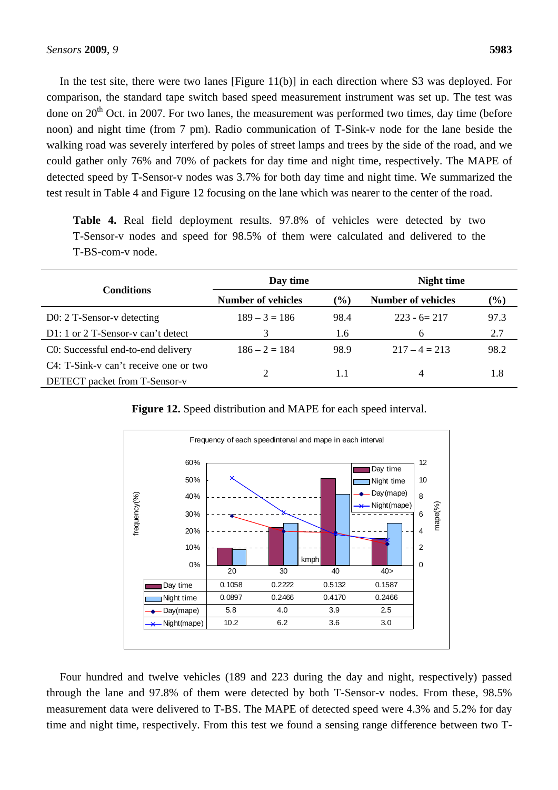In the test site, there were two lanes [Figure 11(b)] in each direction where S3 was deployed. For comparison, the standard tape switch based speed measurement instrument was set up. The test was done on  $20<sup>th</sup>$  Oct. in 2007. For two lanes, the measurement was performed two times, day time (before noon) and night time (from 7 pm). Radio communication of T-Sink-v node for the lane beside the walking road was severely interfered by poles of street lamps and trees by the side of the road, and we could gather only 76% and 70% of packets for day time and night time, respectively. The MAPE of detected speed by T-Sensor-v nodes was 3.7% for both day time and night time. We summarized the test result in Table 4 and Figure 12 focusing on the lane which was nearer to the center of the road.

**Table 4.** Real field deployment results. 97.8% of vehicles were detected by two T-Sensor-v nodes and speed for 98.5% of them were calculated and delivered to the T-BS-com-v node.

|                                       | Day time                    |        | <b>Night time</b>         |        |  |
|---------------------------------------|-----------------------------|--------|---------------------------|--------|--|
| <b>Conditions</b>                     | <b>Number of vehicles</b>   | $(\%)$ | <b>Number of vehicles</b> | $(\%)$ |  |
| D0: 2 T-Sensor-v detecting            | $189 - 3 = 186$             | 98.4   | $223 - 6 = 217$           | 97.3   |  |
| D1: 1 or 2 T-Sensor-v can't detect    | 3                           | 1.6    | 6                         | 2.7    |  |
| C0: Successful end-to-end delivery    | $186 - 2 = 184$             | 98.9   | $217 - 4 = 213$           | 98.2   |  |
| C4: T-Sink-y can't receive one or two | $\mathcal{D}_{\mathcal{L}}$ |        |                           |        |  |
| <b>DETECT</b> packet from T-Sensor-v  |                             | 1.1    | 4                         | 1.8    |  |



**Figure 12.** Speed distribution and MAPE for each speed interval.

Four hundred and twelve vehicles (189 and 223 during the day and night, respectively) passed through the lane and 97.8% of them were detected by both T-Sensor-v nodes. From these, 98.5% measurement data were delivered to T-BS. The MAPE of detected speed were 4.3% and 5.2% for day time and night time, respectively. From this test we found a sensing range difference between two T-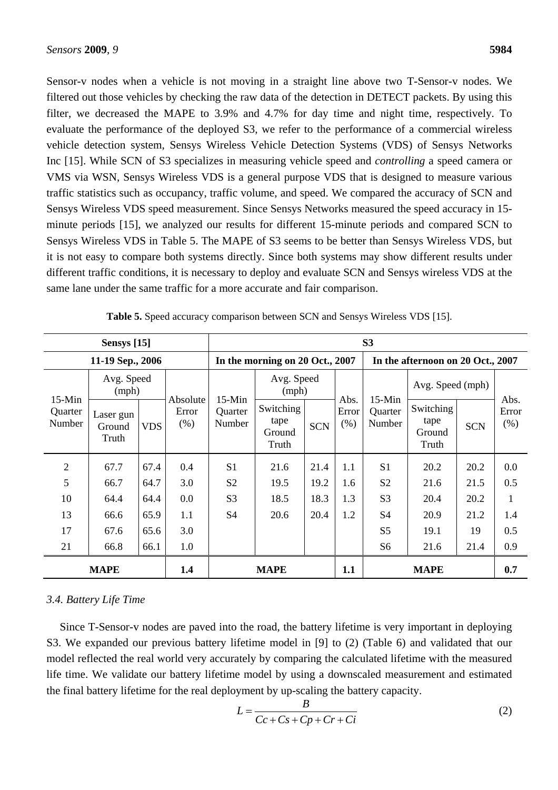Sensor-v nodes when a vehicle is not moving in a straight line above two T-Sensor-v nodes. We filtered out those vehicles by checking the raw data of the detection in DETECT packets. By using this filter, we decreased the MAPE to 3.9% and 4.7% for day time and night time, respectively. To evaluate the performance of the deployed S3, we refer to the performance of a commercial wireless vehicle detection system, Sensys Wireless Vehicle Detection Systems (VDS) of Sensys Networks Inc [15]. While SCN of S3 specializes in measuring vehicle speed and *controlling* a speed camera or VMS via WSN, Sensys Wireless VDS is a general purpose VDS that is designed to measure various traffic statistics such as occupancy, traffic volume, and speed. We compared the accuracy of SCN and Sensys Wireless VDS speed measurement. Since Sensys Networks measured the speed accuracy in 15 minute periods [15], we analyzed our results for different 15-minute periods and compared SCN to Sensys Wireless VDS in Table 5. The MAPE of S3 seems to be better than Sensys Wireless VDS, but it is not easy to compare both systems directly. Since both systems may show different results under different traffic conditions, it is necessary to deploy and evaluate SCN and Sensys wireless VDS at the same lane under the same traffic for a more accurate and fair comparison.

|                               | <b>Sensys</b> [15]           |            |                           | S <sub>3</sub>                  |                                      |            |                                   |                               |                                      |            |                       |
|-------------------------------|------------------------------|------------|---------------------------|---------------------------------|--------------------------------------|------------|-----------------------------------|-------------------------------|--------------------------------------|------------|-----------------------|
|                               | 11-19 Sep., 2006             |            |                           | In the morning on 20 Oct., 2007 |                                      |            | In the afternoon on 20 Oct., 2007 |                               |                                      |            |                       |
|                               | Avg. Speed<br>(mph)          |            |                           |                                 | Avg. Speed<br>(mph)                  |            |                                   |                               | Avg. Speed (mph)                     |            |                       |
| $15-Min$<br>Quarter<br>Number | Laser gun<br>Ground<br>Truth | <b>VDS</b> | Absolute<br>Error<br>(% ) | $15-Min$<br>Quarter<br>Number   | Switching<br>tape<br>Ground<br>Truth | <b>SCN</b> | Abs.<br>Error<br>(% )             | $15-Min$<br>Quarter<br>Number | Switching<br>tape<br>Ground<br>Truth | <b>SCN</b> | Abs.<br>Error<br>(% ) |
| $\overline{2}$                | 67.7                         | 67.4       | 0.4                       | S <sub>1</sub>                  | 21.6                                 | 21.4       | 1.1                               | S <sub>1</sub>                | 20.2                                 | 20.2       | 0.0                   |
| 5                             | 66.7                         | 64.7       | 3.0                       | S <sub>2</sub>                  | 19.5                                 | 19.2       | 1.6                               | S <sub>2</sub>                | 21.6                                 | 21.5       | 0.5                   |
| 10                            | 64.4                         | 64.4       | 0.0                       | S <sub>3</sub>                  | 18.5                                 | 18.3       | 1.3                               | S <sub>3</sub>                | 20.4                                 | 20.2       | $\mathbf{1}$          |
| 13                            | 66.6                         | 65.9       | 1.1                       | S <sub>4</sub>                  | 20.6                                 | 20.4       | 1.2                               | S <sub>4</sub>                | 20.9                                 | 21.2       | 1.4                   |
| 17                            | 67.6                         | 65.6       | 3.0                       |                                 |                                      |            |                                   | S <sub>5</sub>                | 19.1                                 | 19         | 0.5                   |
| 21                            | 66.8                         | 66.1       | 1.0                       |                                 |                                      |            |                                   | S <sub>6</sub>                | 21.6                                 | 21.4       | 0.9                   |
|                               | <b>MAPE</b>                  |            | 1.4                       |                                 | <b>MAPE</b>                          |            | 1.1                               |                               | <b>MAPE</b>                          |            | 0.7                   |

**Table 5.** Speed accuracy comparison between SCN and Sensys Wireless VDS [15].

# *3.4. Battery Life Time*

Since T-Sensor-v nodes are paved into the road, the battery lifetime is very important in deploying S3. We expanded our previous battery lifetime model in [9] to (2) (Table 6) and validated that our model reflected the real world very accurately by comparing the calculated lifetime with the measured life time. We validate our battery lifetime model by using a downscaled measurement and estimated the final battery lifetime for the real deployment by up-scaling the battery capacity.

$$
L = \frac{B}{Cc + Cs + Cp + Cr + Ci}
$$
 (2)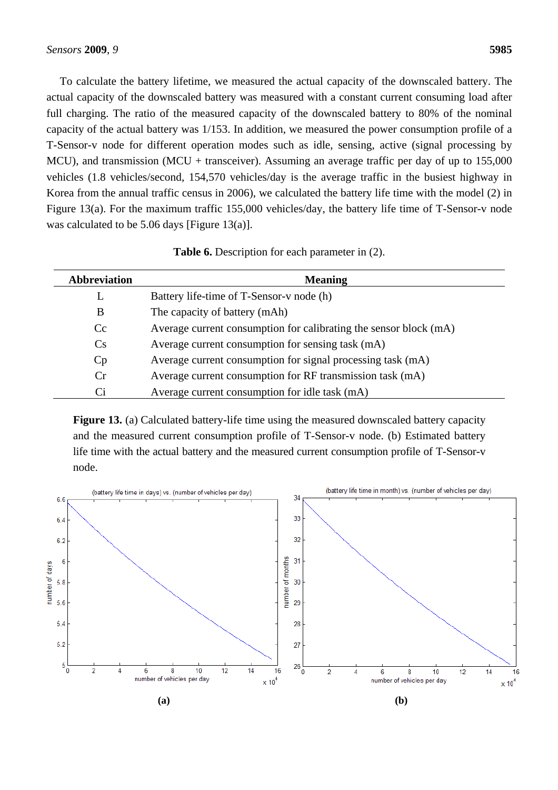To calculate the battery lifetime, we measured the actual capacity of the downscaled battery. The actual capacity of the downscaled battery was measured with a constant current consuming load after full charging. The ratio of the measured capacity of the downscaled battery to 80% of the nominal capacity of the actual battery was 1/153. In addition, we measured the power consumption profile of a T-Sensor-v node for different operation modes such as idle, sensing, active (signal processing by MCU), and transmission (MCU + transceiver). Assuming an average traffic per day of up to 155,000 vehicles (1.8 vehicles/second, 154,570 vehicles/day is the average traffic in the busiest highway in Korea from the annual traffic census in 2006), we calculated the battery life time with the model (2) in Figure 13(a). For the maximum traffic 155,000 vehicles/day, the battery life time of T-Sensor-v node was calculated to be 5.06 days [Figure 13(a)].

|  |  |  | <b>Table 6.</b> Description for each parameter in (2). |  |
|--|--|--|--------------------------------------------------------|--|
|--|--|--|--------------------------------------------------------|--|

| <b>Abbreviation</b> | <b>Meaning</b>                                                    |
|---------------------|-------------------------------------------------------------------|
| L                   | Battery life-time of T-Sensor-v node (h)                          |
| B                   | The capacity of battery (mAh)                                     |
| Cc                  | Average current consumption for calibrating the sensor block (mA) |
| Cs                  | Average current consumption for sensing task (mA)                 |
| Cp                  | Average current consumption for signal processing task (mA)       |
| Cr                  | Average current consumption for RF transmission task (mA)         |
| Ci                  | Average current consumption for idle task (mA)                    |

**Figure 13.** (a) Calculated battery-life time using the measured downscaled battery capacity and the measured current consumption profile of T-Sensor-v node. (b) Estimated battery life time with the actual battery and the measured current consumption profile of T-Sensor-v node.

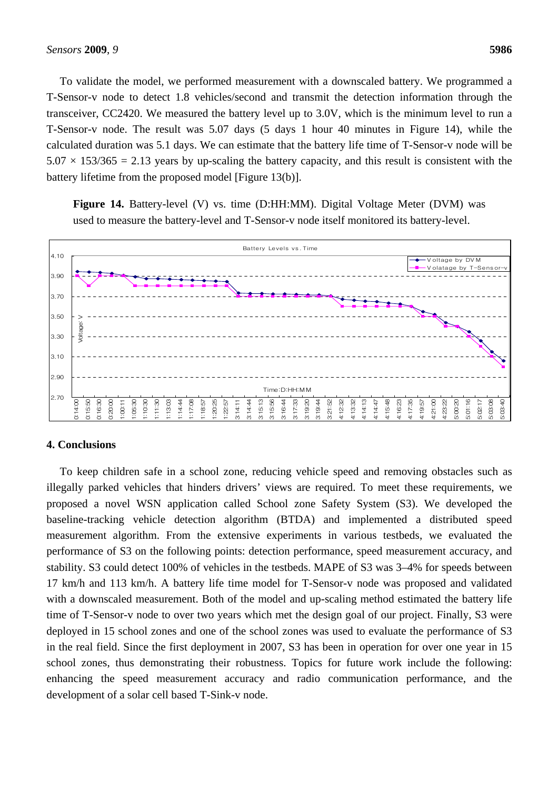To validate the model, we performed measurement with a downscaled battery. We programmed a T-Sensor-v node to detect 1.8 vehicles/second and transmit the detection information through the transceiver, CC2420. We measured the battery level up to 3.0V, which is the minimum level to run a T-Sensor-v node. The result was 5.07 days (5 days 1 hour 40 minutes in Figure 14), while the calculated duration was 5.1 days. We can estimate that the battery life time of T-Sensor-v node will be  $5.07 \times 153/365 = 2.13$  years by up-scaling the battery capacity, and this result is consistent with the battery lifetime from the proposed model [Figure 13(b)].

**Figure 14.** Battery-level (V) vs. time (D:HH:MM). Digital Voltage Meter (DVM) was used to measure the battery-level and T-Sensor-v node itself monitored its battery-level.



### **4. Conclusions**

To keep children safe in a school zone, reducing vehicle speed and removing obstacles such as illegally parked vehicles that hinders drivers' views are required. To meet these requirements, we proposed a novel WSN application called School zone Safety System (S3). We developed the baseline-tracking vehicle detection algorithm (BTDA) and implemented a distributed speed measurement algorithm. From the extensive experiments in various testbeds, we evaluated the performance of S3 on the following points: detection performance, speed measurement accuracy, and stability. S3 could detect 100% of vehicles in the testbeds. MAPE of S3 was 3–4% for speeds between 17 km/h and 113 km/h. A battery life time model for T-Sensor-v node was proposed and validated with a downscaled measurement. Both of the model and up-scaling method estimated the battery life time of T-Sensor-v node to over two years which met the design goal of our project. Finally, S3 were deployed in 15 school zones and one of the school zones was used to evaluate the performance of S3 in the real field. Since the first deployment in 2007, S3 has been in operation for over one year in 15 school zones, thus demonstrating their robustness. Topics for future work include the following: enhancing the speed measurement accuracy and radio communication performance, and the development of a solar cell based T-Sink-v node.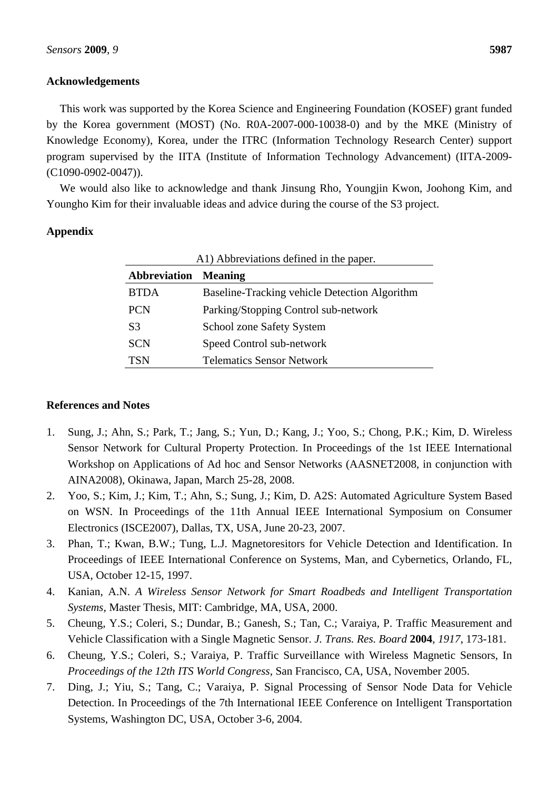## **Acknowledgements**

This work was supported by the Korea Science and Engineering Foundation (KOSEF) grant funded by the Korea government (MOST) (No. R0A-2007-000-10038-0) and by the MKE (Ministry of Knowledge Economy), Korea, under the ITRC (Information Technology Research Center) support program supervised by the IITA (Institute of Information Technology Advancement) (IITA-2009- (C1090-0902-0047)).

We would also like to acknowledge and thank Jinsung Rho, Youngjin Kwon, Joohong Kim, and Youngho Kim for their invaluable ideas and advice during the course of the S3 project.

# **Appendix**

| A1) Abbreviations defined in the paper. |                                               |  |  |
|-----------------------------------------|-----------------------------------------------|--|--|
| Abbreviation                            | <b>Meaning</b>                                |  |  |
| <b>BTDA</b>                             | Baseline-Tracking vehicle Detection Algorithm |  |  |
| <b>PCN</b>                              | Parking/Stopping Control sub-network          |  |  |
| S3                                      | School zone Safety System                     |  |  |
| <b>SCN</b>                              | Speed Control sub-network                     |  |  |
| TSN                                     | <b>Telematics Sensor Network</b>              |  |  |

# **References and Notes**

- 1. Sung, J.; Ahn, S.; Park, T.; Jang, S.; Yun, D.; Kang, J.; Yoo, S.; Chong, P.K.; Kim, D. Wireless Sensor Network for Cultural Property Protection. In Proceedings of the 1st IEEE International Workshop on Applications of Ad hoc and Sensor Networks (AASNET2008, in conjunction with AINA2008), Okinawa, Japan, March 25-28, 2008.
- 2. Yoo, S.; Kim, J.; Kim, T.; Ahn, S.; Sung, J.; Kim, D. A2S: Automated Agriculture System Based on WSN. In Proceedings of the 11th Annual IEEE International Symposium on Consumer Electronics (ISCE2007), Dallas, TX, USA, June 20-23, 2007.
- 3. Phan, T.; Kwan, B.W.; Tung, L.J. Magnetoresitors for Vehicle Detection and Identification. In Proceedings of IEEE International Conference on Systems, Man, and Cybernetics, Orlando, FL, USA, October 12-15, 1997.
- 4. Kanian, A.N. *A Wireless Sensor Network for Smart Roadbeds and Intelligent Transportation Systems*, Master Thesis, MIT: Cambridge, MA, USA, 2000.
- 5. Cheung, Y.S.; Coleri, S.; Dundar, B.; Ganesh, S.; Tan, C.; Varaiya, P. Traffic Measurement and Vehicle Classification with a Single Magnetic Sensor. *J. Trans. Res. Board* **2004**, *1917*, 173-181.
- 6. Cheung, Y.S.; Coleri, S.; Varaiya, P. Traffic Surveillance with Wireless Magnetic Sensors, In *Proceedings of the 12th ITS World Congress*, San Francisco, CA, USA, November 2005.
- 7. Ding, J.; Yiu, S.; Tang, C.; Varaiya, P. Signal Processing of Sensor Node Data for Vehicle Detection. In Proceedings of the 7th International IEEE Conference on Intelligent Transportation Systems, Washington DC, USA, October 3-6, 2004.